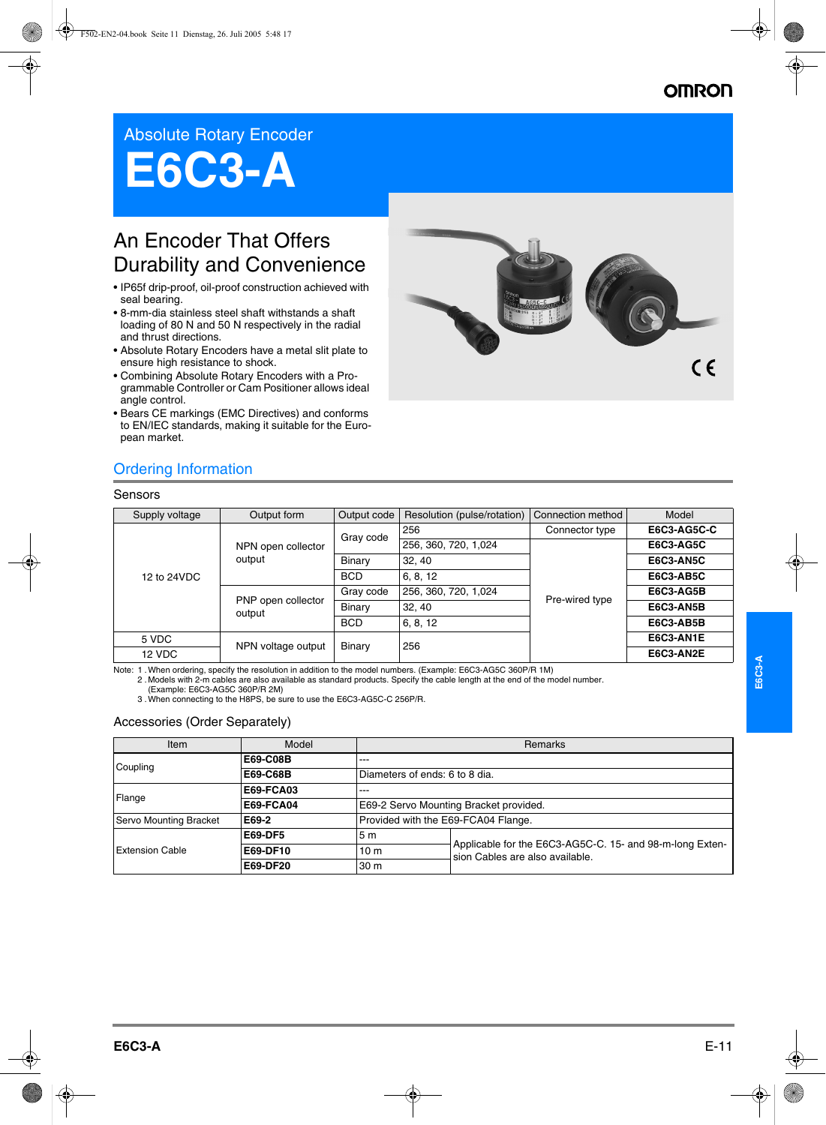# **OMROI**

# Absolute Rotary Encoder

# **E6C3-A**

# An Encoder That Offers Durability and Convenience

- IP65f drip-proof, oil-proof construction achieved with seal bearing.
- 8-mm-dia stainless steel shaft withstands a shaft loading of 80 N and 50 N respectively in the radial and thrust directions.
- Absolute Rotary Encoders have a metal slit plate to ensure high resistance to shock.
- Combining Absolute Rotary Encoders with a Programmable Controller or Cam Positioner allows ideal angle control.
- Bears CE markings (EMC Directives) and conforms to EN/IEC standards, making it suitable for the European market.



## Ordering Information

#### Sensors

| Supply voltage | Output form                  | Output code   | Resolution (pulse/rotation) | Connection method | Model              |
|----------------|------------------------------|---------------|-----------------------------|-------------------|--------------------|
| 12 to 24VDC    | NPN open collector<br>output | Gray code     | 256                         | Connector type    | <b>E6C3-AG5C-C</b> |
|                |                              |               | 256, 360, 720, 1,024        |                   | <b>E6C3-AG5C</b>   |
|                |                              | Binary        | 32, 40                      |                   | E6C3-AN5C          |
|                |                              | <b>BCD</b>    | 6, 8, 12                    | Pre-wired type    | <b>E6C3-AB5C</b>   |
|                | PNP open collector<br>output | Gray code     | 256, 360, 720, 1,024        |                   | E6C3-AG5B          |
|                |                              | <b>Binary</b> | 32, 40                      |                   | <b>E6C3-AN5B</b>   |
|                |                              | <b>BCD</b>    | 6, 8, 12                    |                   | <b>E6C3-AB5B</b>   |
| 5 VDC          | NPN voltage output           | Binary        | 256                         |                   | E6C3-AN1E          |
| 12 VDC         |                              |               |                             |                   | E6C3-AN2E          |

Note: 1 . When ordering, specify the resolution in addition to the model numbers. (Example: E6C3-AG5C 360P/R 1M)<br>. 2 . Models with 2-m cables are also available as standard products. Specify the cable length at the end of

(Example: E6C3-AG5C 360P/R 2M)

3 .When connecting to the H8PS, be sure to use the E6C3-AG5C-C 256P/R.

#### Accessories (Order Separately)

| Item                   | Model            | Remarks                                |                                                                                             |  |
|------------------------|------------------|----------------------------------------|---------------------------------------------------------------------------------------------|--|
| Coupling               | E69-C08B         | $---$                                  |                                                                                             |  |
|                        | E69-C68B         | Diameters of ends: 6 to 8 dia.         |                                                                                             |  |
| Flange                 | <b>E69-FCA03</b> | $---$                                  |                                                                                             |  |
|                        | <b>E69-FCA04</b> | E69-2 Servo Mounting Bracket provided. |                                                                                             |  |
| Servo Mounting Bracket | E69-2            | Provided with the E69-FCA04 Flange.    |                                                                                             |  |
|                        | <b>E69-DF5</b>   | 5 <sub>m</sub>                         | Applicable for the E6C3-AG5C-C. 15- and 98-m-long Exten-<br>sion Cables are also available. |  |
| <b>Extension Cable</b> | E69-DF10         | 10 <sub>m</sub>                        |                                                                                             |  |
|                        | E69-DF20         | 30 <sub>m</sub>                        |                                                                                             |  |